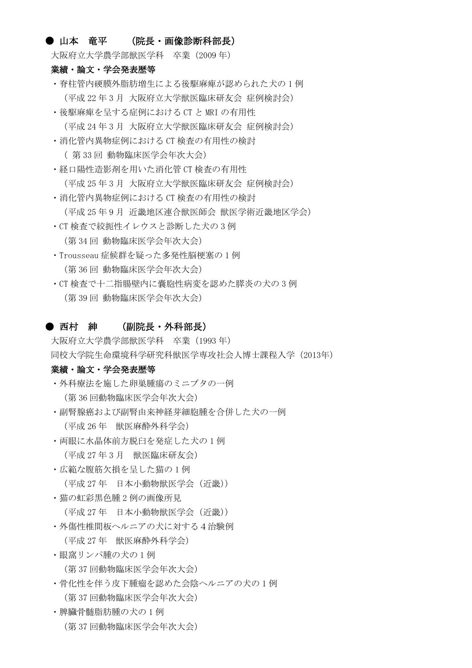# ● 山本 竜平 (院長・画像診断科部長)

大阪府立大学農学部獣医学科 卒業(2009 年)

#### 業績・論文・学会発表歴等

- ・脊柱管内硬膜外脂肪増生による後駆麻痺が認められた犬の 1 例 (平成 22 年 3 月 大阪府立大学獣医臨床研友会 症例検討会)
- ・後駆麻痺を呈する症例における CT と MRI の有用性 (平成 24 年 3 月 大阪府立大学獣医臨床研友会 症例検討会)
- ・消化管内異物症例における CT 検査の有用性の検討
	- ( 第 33 回 動物臨床医学会年次大会)
- ・経口陽性造影剤を用いた消化管 CT 検査の有用性 (平成 25 年 3 月 大阪府立大学獣医臨床研友会 症例検討会)
- ・消化管内異物症例における CT 検査の有用性の検討 (平成 25 年 9 月 近畿地区連合獣医師会 獣医学術近畿地区学会)
- ・CT 検査で絞扼性イレウスと診断した犬の 3 例 (第 34 回 動物臨床医学会年次大会)
- ・Trousseau 症候群を疑った多発性脳梗塞の 1 例 (第 36 回 動物臨床医学会年次大会)
- ・CT 検査で十二指腸壁内に嚢胞性病変を認めた膵炎の犬の 3 例 (第 39 回 動物臨床医学会年次大会)

## ● 西村 紳 (副院長·外科部長)

大阪府立大学農学部獣医学科 卒業(1993 年) 同校大学院生命環境科学研究科獣医学専攻社会人博士課程入学(2013年)

## 業績・論文・学会発表歴等

- ・外科療法を施した卵巣腫瘍のミニブタの一例 (第 36 回動物臨床医学会年次大会)
- ・副腎腺癌および副腎由来神経芽細胞腫を合併した犬の一例 (平成 26 年 獣医麻酔外科学会)
- ・両眼に水晶体前方脱臼を発症した犬の 1 例 (平成 27 年 3 月 獣医臨床研友会)
- ・広範な腹筋欠損を呈した猫の 1 例 (平成 27 年 日本小動物獣医学会(近畿))
- ・猫の虹彩黒色腫 2 例の画像所見 (平成 27 年 日本小動物獣医学会(近畿))
- ・外傷性椎間板ヘルニアの犬に対する4治験例 (平成 27 年 獣医麻酔外科学会)
- ・眼窩リンパ腫の犬の 1 例
	- (第 37 回動物臨床医学会年次大会)
- ・骨化性を伴う皮下腫瘤を認めた会陰ヘルニアの犬の 1 例 (第 37 回動物臨床医学会年次大会)
- ・脾臓骨髄脂肪腫の犬の 1 例 (第 37 回動物臨床医学会年次大会)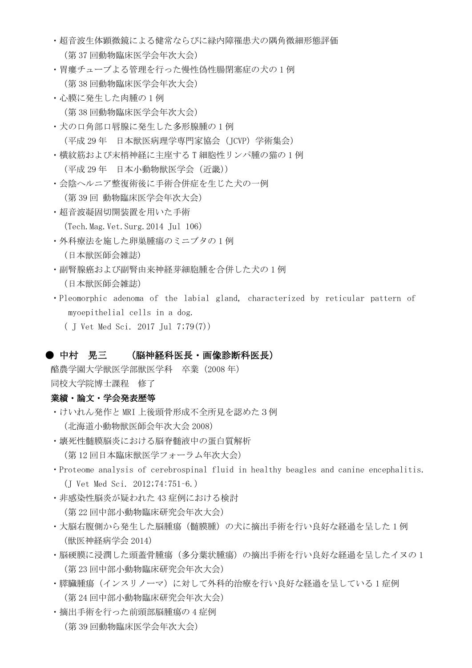- ・超音波生体顕微鏡による健常ならびに緑内障罹患犬の隅角微細形態評価 (第 37 回動物臨床医学会年次大会)
- ・胃瘻チューブよる管理を行った慢性偽性腸閉塞症の犬の 1 例 (第 38 回動物臨床医学会年次大会)
- ・心膜に発生した肉腫の 1 例 (第 38 回動物臨床医学会年次大会)
- ・犬の口角部口唇腺に発生した多形腺腫の 1 例 (平成 29 年 日本獣医病理学専門家協会(JCVP)学術集会)
- ・横紋筋および末梢神経に主座する T 細胞性リンパ腫の猫の 1 例 (平成 29 年 日本小動物獣医学会(近畿))
- ・会陰ヘルニア整復術後に手術合併症を生じた犬の一例 (第 39 回 動物臨床医学会年次大会)
- ・超音波凝固切開装置を用いた手術 (Tech.Mag.Vet.Surg.2014 Jul 106)
- ・外科療法を施した卵巣腫瘍のミニブタの 1 例 (日本獣医師会雑誌)
- ・副腎腺癌および副腎由来神経芽細胞腫を合併した犬の 1 例 (日本獣医師会雑誌)
- ・Pleomorphic adenoma of the labial gland, characterized by reticular pattern of myoepithelial cells in a dog.
	- ( J Vet Med Sci. 2017 Jul 7;79(7))

# ● 中村 晃三 (脳神経科医長・画像診断科医長)

酪農学園大学獣医学部獣医学科 卒業(2008 年) 同校大学院博士課程 修了

## 業績・論文・学会発表歴等

- ・けいれん発作と MRI 上後頭骨形成不全所見を認めた3例 (北海道小動物獣医師会年次大会 2008)
- ・壊死性髄膜脳炎における脳脊髄液中の蛋白質解析 (第 12 回日本臨床獣医学フォーラム年次大会)
- ・Proteome analysis of cerebrospinal fluid in healthy beagles and canine encephalitis. (J Vet Med Sci. 2012;74:751–6.)
- ・非感染性脳炎が疑われた 43 症例における検討 (第 22 回中部小動物臨床研究会年次大会)
- ・大脳右腹側から発生した脳腫瘍(髄膜腫)の犬に摘出手術を行い良好な経過を呈した 1 例 (獣医神経病学会 2014)
- ・脳硬膜に浸潤した頭蓋骨腫瘍(多分葉状腫瘍)の摘出手術を行い良好な経過を呈したイヌの 1 (第 23 回中部小動物臨床研究会年次大会)
- ・膵臓腫瘍(インスリノーマ)に対して外科的治療を行い良好な経過を呈している 1 症例 (第 24 回中部小動物臨床研究会年次大会)
- ・摘出手術を行った前頭部脳腫瘍の 4 症例 (第 39 回動物臨床医学会年次大会)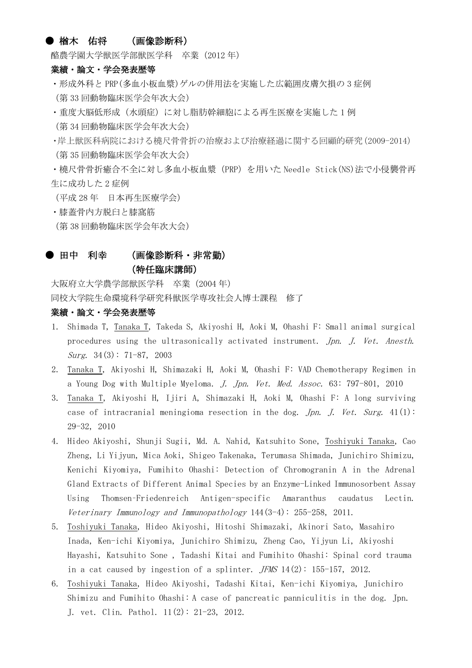# ● 楢木 佑将 (画像診断科)

酪農学園大学獣医学部獣医学科 卒業(2012 年)

#### 業績・論文・学会発表歴等

- ・形成外科と PRP(多血小板血漿)ゲルの併用法を実施した広範囲皮膚欠損の 3 症例 (第 33 回動物臨床医学会年次大会)
- ・重度大脳低形成(水頭症)に対し脂肪幹細胞による再生医療を実施した 1 例 (第 34 回動物臨床医学会年次大会)
- ・岸上獣医科病院における橈尺骨骨折の治療および治療経過に関する回顧的研究(2009-2014) (第 35 回動物臨床医学会年次大会)
- ・橈尺骨骨折癒合不全に対し多血小板血漿(PRP)を用いた Needle Stick(NS)法で小侵襲骨再 生に成功した 2 症例

(平成 28 年 日本再生医療学会)

・膝蓋骨内方脱臼と膝窩筋

(第 38 回動物臨床医学会年次大会)

# ● 田中 利幸 (画像診断科・非常勤) (特任臨床講師)

大阪府立大学農学部獣医学科 卒業(2004 年) 同校大学院生命環境科学研究科獣医学専攻社会人博士課程 修了

#### 業績・論文・学会発表歴等

- 1. Shimada T, Tanaka T, Takeda S, Akiyoshi H, Aoki M, Ohashi F: Small animal surgical procedures using the ultrasonically activated instrument. Jpn. J. Vet. Anesth. Surg.  $34(3): 71-87, 2003$
- 2. Tanaka T, Akiyoshi H, Shimazaki H, Aoki M, Ohashi F: VAD Chemotherapy Regimen in a Young Dog with Multiple Myeloma. J. Jpn. Vet. Med. Assoc. 63: 797-801, 2010
- 3. Tanaka T, Akiyoshi H, Ijiri A, Shimazaki H, Aoki M, Ohashi F: A long surviving case of intracranial meningioma resection in the dog. Jpn. J. Vet. Surg.  $41(1)$ : 29-32, 2010
- 4. Hideo Akiyoshi, Shunji Sugii, Md. A. Nahid, Katsuhito Sone, Toshiyuki Tanaka, Cao Zheng, Li Yijyun, Mica Aoki, Shigeo Takenaka, Terumasa Shimada, Junichiro Shimizu, Kenichi Kiyomiya, Fumihito Ohashi: Detection of Chromogranin A in the Adrenal Gland Extracts of Different Animal Species by an Enzyme-Linked Immunosorbent Assay Using Thomsen–Friedenreich Antigen-specific Amaranthus caudatus Lectin. Veterinary Immunology and Immunopathology 144(3-4): 255-258, 2011.
- 5. Toshiyuki Tanaka, Hideo Akiyoshi, Hitoshi Shimazaki, Akinori Sato, Masahiro Inada, Ken-ichi Kiyomiya, Junichiro Shimizu, Zheng Cao, Yijyun Li, Akiyoshi Hayashi, Katsuhito Sone , Tadashi Kitai and Fumihito Ohashi: Spinal cord trauma in a cat caused by ingestion of a splinter.  $JFMS$  14(2): 155-157, 2012.
- 6. Toshiyuki Tanaka, Hideo Akiyoshi, Tadashi Kitai, Ken-ichi Kiyomiya, Junichiro Shimizu and Fumihito Ohashi: A case of pancreatic panniculitis in the dog. Jpn. J. vet. Clin. Pathol. 11(2): 21-23, 2012.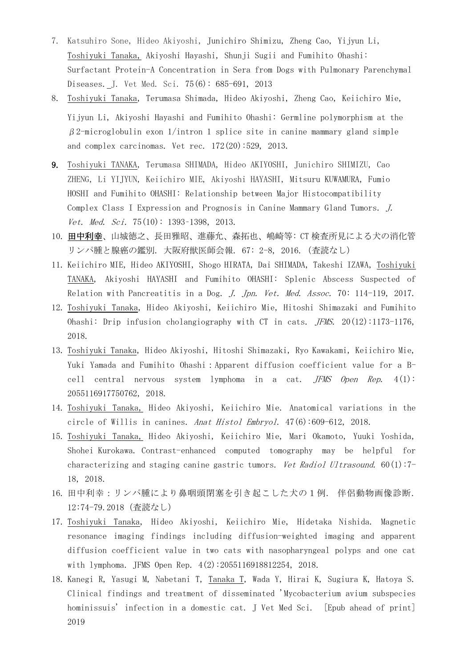- 7. Katsuhiro Sone, Hideo Akiyoshi, Junichiro Shimizu, Zheng Cao, Yijyun Li, Toshiyuki Tanaka, Akiyoshi Hayashi, Shunji Sugii and Fumihito Ohashi: Surfactant Protein-A Concentration in Sera from Dogs with Pulmonary Parenchymal Diseases. J. Vet Med. Sci. 75(6): 685-691, 2013
- 8. Toshiyuki Tanaka, Terumasa Shimada, Hideo Akiyoshi, Zheng Cao, Keiichiro Mie, Yijyun Li, Akiyoshi Hayashi and Fumihito Ohashi: Germline polymorphism at the  $\beta$ 2-microglobulin exon 1/intron 1 splice site in canine mammary gland simple and complex carcinomas. Vet rec. 172(20):529, 2013.
- 9. Toshiyuki TANAKA, Terumasa SHIMADA, Hideo AKIYOSHI, Junichiro SHIMIZU, Cao ZHENG, Li YIJYUN, Keiichiro MIE, Akiyoshi HAYASHI, Mitsuru KUWAMURA, Fumio HOSHI and Fumihito OHASHI: Relationship between Major Histocompatibility Complex Class I Expression and Prognosis in Canine Mammary Gland Tumors. J. Vet. Med. Sci.  $75(10): 1393-1398, 2013.$
- 10. 田中利幸、山城徳之、長田雅昭、進藤允、森拓也、嶋崎等: CT 検査所見による犬の消化管 リンパ腫と腺癌の鑑別. 大阪府獣医師会報. 67: 2-8, 2016.(査読なし)
- 11. Keiichiro MIE, Hideo AKIYOSHI, Shogo HIRATA, Dai SHIMADA, Takeshi IZAWA, Toshiyuki TANAKA, Akiyoshi HAYASHI and Fumihito OHASHI: Splenic Abscess Suspected of Relation with Pancreatitis in a Dog. J. Jpn. Vet. Med. Assoc. 70: 114-119, 2017.
- 12. Toshiyuki Tanaka, Hideo Akiyoshi, Keiichiro Mie, Hitoshi Shimazaki and Fumihito Ohashi: Drip infusion cholangiography with CT in cats.  $JFMS. 20(12):1173-1176$ , 2018.
- 13. Toshiyuki Tanaka, Hideo Akiyoshi, Hitoshi Shimazaki, Ryo Kawakami, Keiichiro Mie, Yuki Yamada and Fumihito Ohashi: Apparent diffusion coefficient value for a Bcell central nervous system lymphoma in a cat. JFMS Open Rep.  $4(1)$ : 2055116917750762, 2018.
- 14. Toshiyuki Tanaka, Hideo Akiyoshi, Keiichiro Mie. Anatomical variations in the circle of Willis in canines. Anat Histol Embryol. 47(6):609-612, 2018.
- 15. Toshiyuki Tanaka, Hideo Akiyoshi, Keiichiro Mie, Mari Okamoto, Yuuki Yoshida, Shohei Kurokawa. Contrast-enhanced computed tomography may be helpful for characterizing and staging canine gastric tumors. Vet Radiol Ultrasound.  $60(1)$ :7-18, 2018.
- 16. 田中利幸:リンパ腫により鼻咽頭閉塞を引き起こした犬の1例. 伴侶動物画像診断. 12:74-79.2018(査読なし)
- 17. Toshiyuki Tanaka, Hideo Akiyoshi, Keiichiro Mie, Hidetaka Nishida. Magnetic resonance imaging findings including diffusion-weighted imaging and apparent diffusion coefficient value in two cats with nasopharyngeal polyps and one cat with lymphoma. JFMS Open Rep. 4(2):2055116918812254, 2018.
- 18. Kanegi R, Yasugi M, Nabetani T, Tanaka T, Wada Y, Hirai K, Sugiura K, Hatoya S. Clinical findings and treatment of disseminated 'Mycobacterium avium subspecies hominissuis' infection in a domestic cat. J Vet Med Sci. [Epub ahead of print] 2019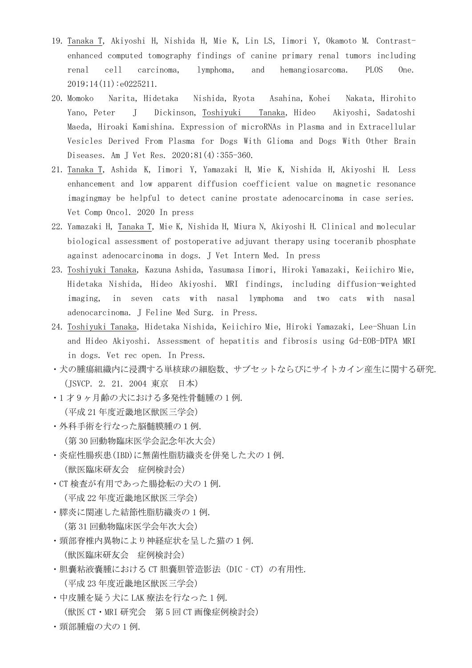- 19. Tanaka T, Akiyoshi H, Nishida H, Mie K, Lin LS, Iimori Y, Okamoto M. Contrastenhanced computed tomography findings of canine primary renal tumors including renal cell carcinoma, lymphoma, and hemangiosarcoma. PLOS One. 2019;14(11):e0225211.
- 20. Momoko Narita, Hidetaka Nishida, Ryota Asahina, Kohei Nakata, Hirohito Yano, Peter J Dickinson, Toshiyuki Tanaka, Hideo Akiyoshi, Sadatoshi Maeda, Hiroaki Kamishina. Expression of microRNAs in Plasma and in Extracellular Vesicles Derived From Plasma for Dogs With Glioma and Dogs With Other Brain Diseases. Am J Vet Res. 2020;81(4):355-360.
- 21. Tanaka T, Ashida K, Iimori Y, Yamazaki H, Mie K, Nishida H, Akiyoshi H. Less enhancement and low apparent diffusion coefficient value on magnetic resonance imagingmay be helpful to detect canine prostate adenocarcinoma in case series. Vet Comp Oncol. 2020 In press
- 22. Yamazaki H, Tanaka T, Mie K, Nishida H, Miura N, Akiyoshi H. Clinical and molecular biological assessment of postoperative adjuvant therapy using toceranib phosphate against adenocarcinoma in dogs. J Vet Intern Med. In press
- 23. Toshiyuki Tanaka, Kazuna Ashida, Yasumasa Iimori, Hiroki Yamazaki, Keiichiro Mie, Hidetaka Nishida, Hideo Akiyoshi. MRI findings, including diffusion-weighted imaging, in seven cats with nasal lymphoma and two cats with nasal adenocarcinoma. J Feline Med Surg. in Press.
- 24. Toshiyuki Tanaka, Hidetaka Nishida, Keiichiro Mie, Hiroki Yamazaki, Lee-Shuan Lin and Hideo Akiyoshi. Assessment of hepatitis and fibrosis using Gd-EOB-DTPA MRI in dogs. Vet rec open. In Press.
- ・犬の腫瘍組織内に浸潤する単核球の細胞数、サブセットならびにサイトカイン産生に関する研究. (JSVCP. 2. 21. 2004 東京 日本)
- ・1 才 9 ヶ月齢の犬における多発性骨髄腫の 1 例. (平成 21 年度近畿地区獣医三学会)
- ・外科手術を行なった脳髄膜腫の1例. (第 30 回動物臨床医学会記念年次大会)
- ・炎症性腸疾患(IBD)に無菌性脂肪織炎を併発した犬の 1 例. (獣医臨床研友会 症例検討会)
- ・CT 検査が有用であった腸捻転の犬の 1 例. (平成 22 年度近畿地区獣医三学会)
- ・膵炎に関連した結節性脂肪織炎の 1 例. (第 31 回動物臨床医学会年次大会)
- ・頸部脊椎内異物により神経症状を呈した猫の1例. (獣医臨床研友会 症例検討会)
- ・胆囊粘液嚢腫における CT 胆嚢胆管造影法(DIC‐CT)の有用性. (平成 23 年度近畿地区獣医三学会)
- ・中皮腫を疑う犬に LAK 療法を行なった 1 例. (獣医 CT・MRI 研究会 第 5 回 CT 画像症例検討会)
- ・頸部腫瘤の犬の 1 例.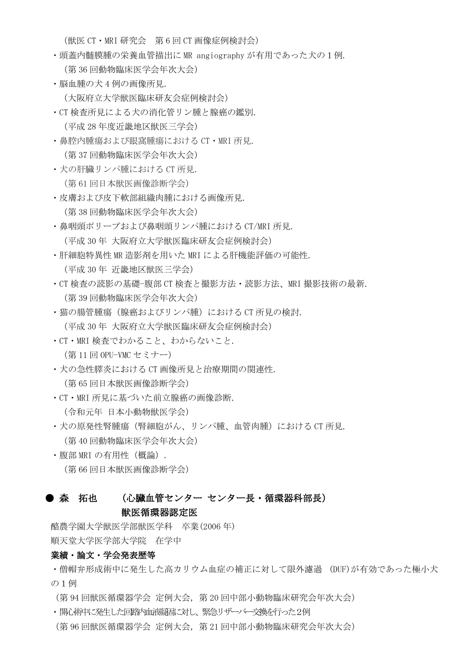(獣医 CT・MRI 研究会 第 6 回 CT 画像症例検討会)

- ・頭蓋内髄膜腫の栄養血管描出に MR angiography が有用であった犬の1例. (第 36 回動物臨床医学会年次大会)
- ・脳血腫の犬 4 例の画像所見.

(大阪府立大学獣医臨床研友会症例検討会)

- ・CT 検査所見による犬の消化管リン腫と腺癌の鑑別. (平成 28 年度近畿地区獣医三学会)
- ・鼻腔内腫瘍および眼窩腫瘍における CT・MRI 所見. (第 37 回動物臨床医学会年次大会)
- ・犬の肝臓リンパ腫における CT 所見. (第 61 回日本獣医画像診断学会)
- ・皮膚および皮下軟部組織肉腫における画像所見. (第 38 回動物臨床医学会年次大会)
- ・鼻咽頭ポリープおよび鼻咽頭リンパ腫における CT/MRI 所見. (平成 30 年 大阪府立大学獣医臨床研友会症例検討会)
- ・肝細胞特異性 MR 造影剤を用いた MRI による肝機能評価の可能性. (平成 30 年 近畿地区獣医三学会)
- ・CT 検査の読影の基礎-腹部 CT 検査と撮影方法・読影方法、MRI 撮影技術の最新. (第 39 回動物臨床医学会年次大会)
- ·猫の腸管腫瘍(腺癌およびリンパ腫)における CT 所見の検討. (平成 30 年 大阪府立大学獣医臨床研友会症例検討会)
- ・CT・MRI 検査でわかること、わからないこと. (第 11 回 OPU-VMC セミナー)
- ・犬の急性膵炎における CT 画像所見と治療期間の関連性. (第 65 回日本獣医画像診断学会)
- ・CT・MRI 所見に基づいた前立腺癌の画像診断. (令和元年 日本小動物獣医学会)
- ・犬の原発性腎腫瘍(腎細胞がん、リンパ腫、血管肉腫)における CT 所見. (第 40 回動物臨床医学会年次大会)
- ・腹部 MRI の有用性(概論). (第 66 回日本獣医画像診断学会)

# ● 森 拓也 (心臓血管センター センター長・循環器科部長) 獣医循環器認定医

酪農学園大学獣医学部獣医学科 卒業(2006 年) 順天堂大学医学部大学院 在学中

## 業績・論文・学会発表歴等

・僧帽弁形成術中に発生した高カリウム血症の補正に対して限外濾過 (DUF)が有効であった極小犬 の1例

- (第 94 回獣医循環器学会 定例大会,第 20 回中部小動物臨床研究会年次大会)
- ・開心術中に発生した回路内血液凝固に対し、緊急リザーバー交換を行った2例

(第 96 回獣医循環器学会 定例大会,第 21 回中部小動物臨床研究会年次大会)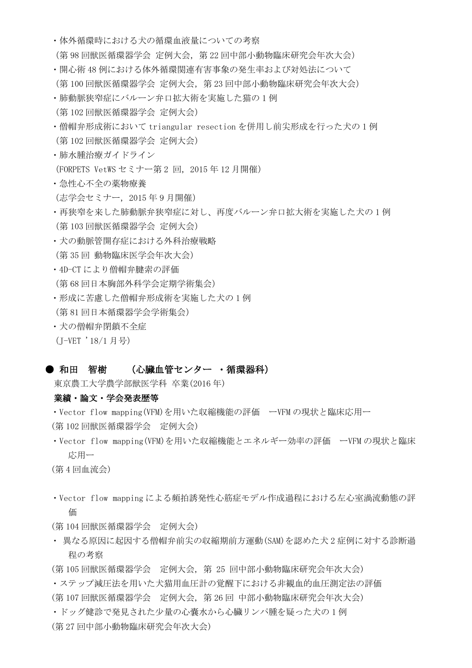- ・体外循環時における犬の循環血液量についての考察
- (第 98 回獣医循環器学会 定例大会,第 22 回中部小動物臨床研究会年次大会)
- ・開心術 48 例における体外循環関連有害事象の発生率および対処法について
- (第 100 回獣医循環器学会 定例大会,第 23 回中部小動物臨床研究会年次大会)
- ・肺動脈狭窄症にバルーン弁口拡大術を実施した猫の 1 例

(第 102 回獣医循環器学会 定例大会)

- ・僧帽弁形成術において triangular resection を併用し前尖形成を行った犬の 1 例 (第 102 回獣医循環器学会 定例大会)
- ・肺水腫治療ガイドライン
- (FORPETS VetWS セミナー第2回, 2015年12月開催)
- ・急性心不全の薬物療養
- (志学会セミナー,2015 年 9 月開催)
- ・再狭窄を来した肺動脈弁狭窄症に対し、再度バルーン弁口拡大術を実施した犬の 1 例 (第 103 回獣医循環器学会 定例大会)
- ・犬の動脈管開存症における外科治療戦略 (第 35 回 動物臨床医学会年次大会)
- ・4D-CT により僧帽弁腱索の評価 (第 68 回日本胸部外科学会定期学術集会)
- ・形成に苦慮した僧帽弁形成術を実施した犬の 1 例 (第 81 回日本循環器学会学術集会)
- ・犬の僧帽弁閉鎖不全症
- $(T-VET' 18/1 11$ 号

#### ● 和田 智樹 (心臓血管センター ・循環器科)

東京農工大学農学部獣医学科 卒業(2016 年)

#### 業績・論文・学会発表歴等

- ・Vector flow mapping(VFM)を用いた収縮機能の評価 ーVFM の現状と臨床応用ー (第 102 回獣医循環器学会 定例大会)
- ・Vector flow mapping(VFM)を用いた収縮機能とエネルギー効率の評価 ーVFM の現状と臨床 応用ー

(第 4 回血流会)

・Vector flow mapping による頻拍誘発性心筋症モデル作成過程における左心室渦流動態の評 価

(第 104 回獣医循環器学会 定例大会)

・ 異なる原因に起因する僧帽弁前尖の収縮期前方運動(SAM)を認めた犬 2 症例に対する診断過 程の考察

(第 105 回獣医循環器学会 定例大会, 第 25 回中部小動物臨床研究会年次大会)

- ・ステップ減圧法を用いた犬猫用血圧計の覚醒下における非観血的血圧測定法の評価
- (第 107 回獣医循環器学会 定例大会, 第 26 回 中部小動物臨床研究会年次大会)
- ・ドッグ健診で発見された少量の心嚢水から心臓リンパ腫を疑った犬の 1 例

(第 27 回中部小動物臨床研究会年次大会)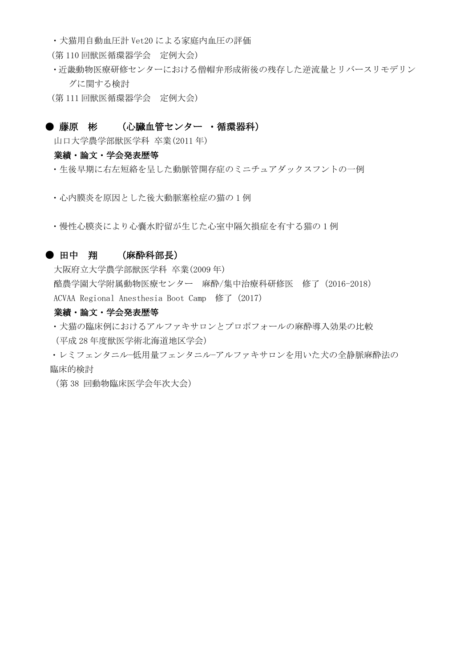・犬猫用自動血圧計 Vet20 による家庭内血圧の評価

(第 110 回獣医循環器学会 定例大会)

- ・近畿動物医療研修センターにおける僧帽弁形成術後の残存した逆流量とリバースリモデリン グに関する検討
- (第 111 回獣医循環器学会 定例大会)

#### ● 藤原 彬 (心臓血管センター ・循環器科)

山口大学農学部獣医学科 卒業(2011 年)

## 業績・論文・学会発表歴等

- ・生後早期に右左短絡を呈した動脈管開存症のミニチュアダックスフントの一例
- ・心内膜炎を原因とした後大動脈塞栓症の猫の 1 例
- ・慢性心膜炎により心嚢水貯留が生じた心室中隔欠損症を有する猫の 1 例

#### ● 田中 翔 (麻酔科部長)

大阪府立大学農学部獣医学科 卒業(2009 年) 酪農学園大学附属動物医療センター 麻酔/集中治療科研修医 修了(2016-2018) ACVAA Regional Anesthesia Boot Camp 修了(2017)

## 業績・論文・学会発表歴等

- ・犬猫の臨床例におけるアルファキサロンとプロポフォールの麻酔導入効果の比較 (平成 28 年度獣医学術北海道地区学会)
- ・レミフェンタニル−低用量フェンタニル−アルファキサロンを用いた犬の全静脈麻酔法の 臨床的検討

(第 38 回動物臨床医学会年次大会)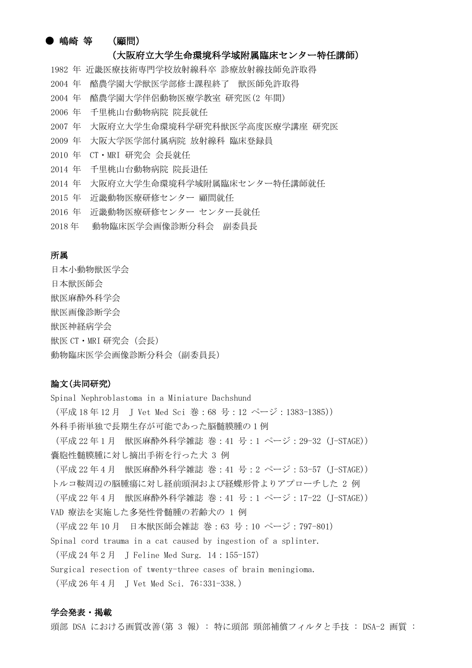## ● 嶋崎 等 (顧問)

#### (大阪府立大学生命環境科学域附属臨床センター特任講師)

- 1982 年 近畿医療技術専門学校放射線科卒 診療放射線技師免許取得
- 2004 年 酪農学園大学獣医学部修士課程終了 獣医師免許取得
- 2004 年 酪農学園大学伴侶動物医療学教室 研究医(2 年間)
- 2006 年 千里桃山台動物病院 院長就任
- 2007 年 大阪府立大学生命環境科学研究科獣医学高度医療学講座 研究医
- 2009 年 大阪大学医学部付属病院 放射線科 臨床登録員
- 2010 年 CT・MRI 研究会 会長就任
- 2014 年 千里桃山台動物病院 院長退任
- 2014 年 大阪府立大学生命環境科学域附属臨床センター特任講師就任
- 2015 年 近畿動物医療研修センター 顧問就任
- 2016 年 近畿動物医療研修センター センター長就任
- 2018 年 動物臨床医学会画像診断分科会 副委員長

#### 所属

日本小動物獣医学会 日本獣医師会 獣医麻酔外科学会 獣医画像診断学会 獣医神経病学会 獣医 CT・MRI 研究会(会長) 動物臨床医学会画像診断分科会(副委員長)

#### 論文(共同研究)

Spinal Nephroblastoma in a Miniature Dachshund (平成 18 年 12 月 J Vet Med Sci 巻:68 号:12 ページ:1383-1385)) 外科手術単独で長期生存が可能であった脳髄膜腫の 1 例 (平成 22 年 1 月 獣医麻酔外科学雑誌 巻:41 号:1 ページ:29-32 (J-STAGE)) 嚢胞性髄膜腫に対し摘出手術を行った犬 3 例 (平成 22 年 4 月 獣医麻酔外科学雑誌 巻:41 号:2 ページ:53-57 (J-STAGE)) トルコ鞍周辺の脳腫瘍に対し経前頭洞および経蝶形骨よりアプローチした 2 例 (平成 22 年 4 月 獣医麻酔外科学雑誌 巻:41 号:1 ページ:17-22 (J-STAGE)) VAD 療法を実施した多発性骨髄腫の若齢犬の 1 例 (平成 22 年 10 月 日本獣医師会雑誌 巻:63 号:10 ページ:797-801) Spinal cord trauma in a cat caused by ingestion of a splinter. (平成 24 年 2 月 J Feline Med Surg. 14:155-157) Surgical resection of twenty-three cases of brain meningioma.

(平成 26 年 4 月 J Vet Med Sci. 76:331-338.)

## 学会発表・掲載

頭部 DSA における画質改善(第 3 報) : 特に頭部 頸部補償フィルタと手技 : DSA-2 画質 :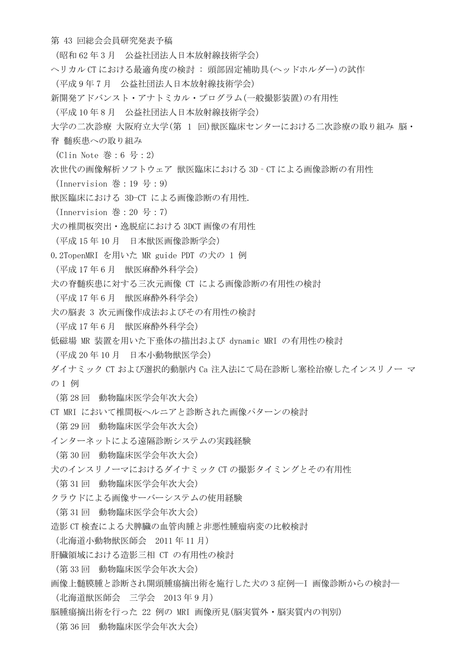- 第 43 回総会会員研究発表予稿
- (昭和 62 年 3 月 公益社団法人日本放射線技術学会)
- ヘリカル CT における最適角度の検討 : 頭部固定補助具(ヘッドホルダー)の試作
- (平成 9 年 7 月 公益社団法人日本放射線技術学会)
- 新開発アドバンスト・アナトミカル・プログラム(一般撮影装置)の有用性
- (平成 10 年 8 月 公益社団法人日本放射線技術学会)
- 大学の二次診療 大阪府立大学(第 1 回)獣医臨床センターにおける二次診療の取り組み 脳・ 脊 髄疾患への取り組み
- 
- (Clin Note 巻:6 号:2)
- 次世代の画像解析ソフトウェア 獣医臨床における 3D‐CT による画像診断の有用性
- (Innervision 巻:19 号:9)
- 獣医臨床における 3D-CT による画像診断の有用性.
- (Innervision 巻:20 号:7)
- 犬の椎間板突出・逸脱症における 3DCT 画像の有用性
- (平成 15 年 10 月 日本獣医画像診断学会)
- 0.2TopenMRI を用いた MR guide PDT の犬の 1 例
- (平成 17 年 6 月 獣医麻酔外科学会)
- 犬の脊髄疾患に対する三次元画像 CT による画像診断の有用性の検討
- (平成 17 年 6 月 獣医麻酔外科学会)
- 犬の脳表 3 次元画像作成法およびその有用性の検討
- (平成 17 年 6 月 獣医麻酔外科学会)
- 低磁場 MR 装置を用いた下垂体の描出および dynamic MRI の有用性の検討
- (平成 20 年 10 月 日本小動物獣医学会)
- ダイナミック CT および選択的動脈内 Ca 注入法にて局在診断し塞栓治療したインスリノー マ
- の 1 例
- (第 28 回 動物臨床医学会年次大会)
- CT MRI において椎間板ヘルニアと診断された画像パターンの検討
- (第 29 回 動物臨床医学会年次大会)
- インターネットによる遠隔診断システムの実践経験
- (第 30 回 動物臨床医学会年次大会)
- 犬のインスリノーマにおけるダイナミック CT の撮影タイミングとその有用性
- (第 31 回 動物臨床医学会年次大会)
- クラウドによる画像サーバーシステムの使用経験
- (第 31 回 動物臨床医学会年次大会)
- 造影 CT 検査による犬脾臓の血管肉腫と非悪性腫瘤病変の比較検討
- (北海道小動物獣医師会 2011 年 11 月)
- 肝臓領域における造影三相 CT の有用性の検討
- (第 33 回 動物臨床医学会年次大会)
- 画像上髄膜腫と診断され開頭腫瘍摘出術を施行した犬の 3 症例―I 画像診断からの検討―
- (北海道獣医師会 三学会 2013 年 9 月)
- 脳腫瘍摘出術を行った 22 例の MRI 画像所見(脳実質外・脳実質内の判別)
- (第 36 回 動物臨床医学会年次大会)